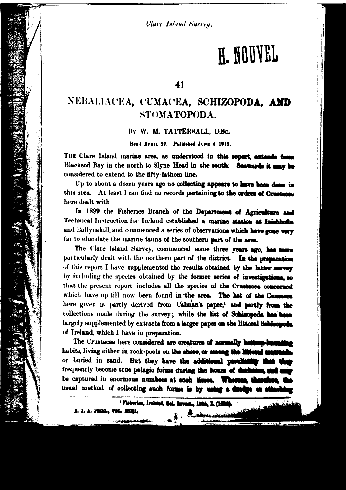**Clare Island Survey.** 

# H. NOUVEL

## 41

# NEBALIACEA, CUMACEA, SCHIZOPODA, AND STOMATOPODA.

## BY W. M. TATTERSALL, D.Sc.

Read Armst. 22. Published JUNE 4, 1912.

THE Clare Island marine area, as understood in this report, extends fro Blacksod Bay in the north to Slyne Head in the south. Seawards it may be considered to extend to the fifty-fathom line.

Up to about a dozen years ago no collecting appears to have been done in this area. At least I can find no records pertaining to the orders of Crustaces here dealt with.

In 1899 the Fisheries Branch of the Department of Agriculture and Technical Instruction for Ireland established a marine station at Inichbofin and Ballynakill, and commenced a series of observations which have gone very far to elucidate the marine fauna of the southern part of the area.

The Clare Island Survey, commenced some three years ago, has more particularly dealt with the northern part of the district. In the preparation of this report I have supplemented the results obtained by the latter surver by including the species obtained by the former series of investigations, so that the present report includes all the species of the Crustacea concerned which have up till now been found in the area. The list of the Cumnoes here given is partly derived from Calman's paper,' and partly from the collections made during the survey; while the list of Schisopoda has been largely supplemented by extracts from a larger paper on the littoral Schienpods. of Ireland, which I have in preparation.

The Crustacea here considered are creatures of normally bettern-be habits, living either in rock-pools on the shore, or among the litteral or buried in sand. But they have the additional peculiating t frequently become true pelagic forms during the hours of during be captured in enormous numbers at such times. Whereas, a usual method of collecting such forms is by using a dredge or a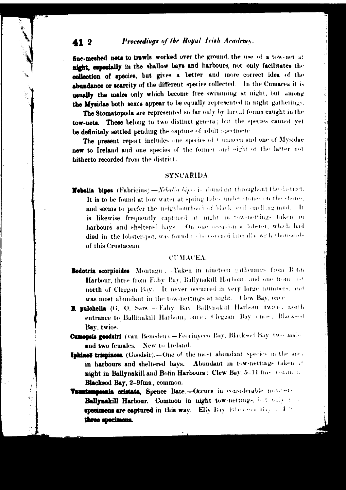#### Proceedings of the Royal Irish Academy. 41 2

fine-meshed nets to trawls worked over the ground, the use of a tow-net at night, capcoially in the shallow bays and harbours, not only facilitates the collection of apecies, but gives a better and more correct idea of the abundance or scarcity of the different species collected. In the Cumacea it is usually the males only which become free-swimming at night, but among the Mysidae both sexcs appear to be equally represented in night gatherings.

The Stomatopoda are represented so far only by larval forms caught in the tow-nets. These belong to two distinct genera; but the species cannot vet be definitely settled pending the capture of adult specimens.

The present report includes one species of Cumacea and one of Mysidae new to Ireland and one species of the former and eight of the latter not hitherto recorded from the district.

## **SYNCARIDA.**

Hebalia bipes (Fabricius).-Nebalia bipes is abundant throughout the district. It is to be found at low water at spring tides under stones on the shores. and seems to prefer the neighbourhood of black, evil-smelling mud. It is likewise frequently captured at night in tow-nettings taken in harbours and sheltered bays. On one occasion a lobster, which had died in the lobster-pot, was found to be covered literally with thousandof this Crustacean.

## **CUMACEA.**

- Bodotria scorpioides Montague .- Taken in nineteen gatherings from Both Harbour, three from Fahy Bay, Ballynakill Harbour, and one from past north of Cleggan Bay. It never occurred in very large numbers, and was most abundant in the tow-nettings at night. Clew Bay, once
- B. pulchella (G. O. Sars .- Fahy Bay, Ballynakill Harbour, twice, north entrance to Ballinakill Harbour, once: Cleggan Bay, once, Blackson Bay, twice.
- Cumepsis goodsiri (van Beneden).-Feorinyeeo Bay, Blacksod Bay two made and two females. New to Ireland.
- Iphined trispinosa (Goodsir).-One of the most abundant species in the area in harbours and sheltered bays. Abundant in tow-nettings taken at night in Ballynakill and Bofin Harbours; Clew Bay, 5-11 fms. Comment Blacksod Bay, 2-9fms., common.
- Vauntempeenia cristata, Spence Bate .- Occurs in considerable noncen-Ballynakill Harbour. Common in night tow-nettings, but endy in a specimens are captured in this way. Elly Bay Bluesser Bayers 4.10 three specimens.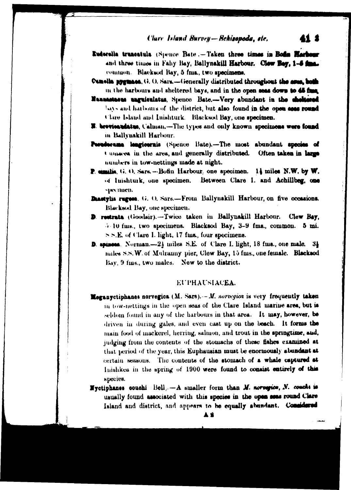41 1

- Euderella truncatula (Spence Bate .- Taken three times in Bods Harbour and three times in Fahy Bay, Ballynakill Harbour. Clew Bey, 1-6 final common. Blacksod Bay, 5 fma., two specimens.
- Cuncilla pygmaca, G. O. Sara.-Generally distributed throughout the area, both in the harbours and sheltered bays, and in the open seas down to 45 final
- Nanastaeus unguieulatus, Spence Bate.---Very abundant in the sheltered bays and harbours of the district, but also found in the open seas round Clare Island and Inishturk. Blacksod Bay, one specimen.
- **E. brovioandatus**, Calman,-The types and only known specimens were found in Ballynakill Harbour.
- Perudecume lengioernis (Spence Bate).-The most abundant species of t unseres in the area, and generally distributed. Often taken in large numbers in tow-nettings made at night.
- P. cimilis, G. O. Sara -- Bofin Harbour, one specimen. 14 miles N.W. by W. of luishturk, one specimen. Between Clare I. and Achillbeg, one spectmen.
- Dastylis rugees. G. O. Sars.-From Ballynakill Harbour, on five occasions. Blacksod Bay, one specimen.
- D. restrata (Goodsir).-Twice taken in Ballynakill Harbour. Clew Bay. 4.10 fms., two specimens. Blacksod Bay, 3-9 fms., common. 5 mi.  $>$  S.E. of Clare I. light, 17 fms., four specimens.
- **D. spiness.** Norman.—2} miles S.E. of Clare I. light, 18 fms., one male.  $3\frac{1}{4}$ miles S.S. W. of Mulramiy pier, Clew Bay, 15 fms., one female. Blacksod Bay, 9 fms., two males. New to the district.

## **EUPHAUSIACEA.**

- **Meganyctiphanes norvegica** ( $M$ . Sars).  $-M$ . norvegica is very frequently taken in tow-nettings in the open seas of the Clare Island marine area, but is seldom found in any of the harbours in that area. It may, however, be driven in during gales, and even cast up on the beach. It forms the main food of mackerel, herring, salmon, and trout in the springtime, and, judging from the contents of the stomachs of these fishes examined at that period of the year, this Euphausian must be enormously abundant at certain seasons. The contents of the stomach of a whale captured at Inishkea in the spring of 1900 were found to consist entirely of this species.
- **N**vetiphanes couchi Bell.  $-A$  smaller form than M. norregues, N. couchs is usually found associated with this species in the open seas round Clare Island and district, and appears to be equally abundant. Considered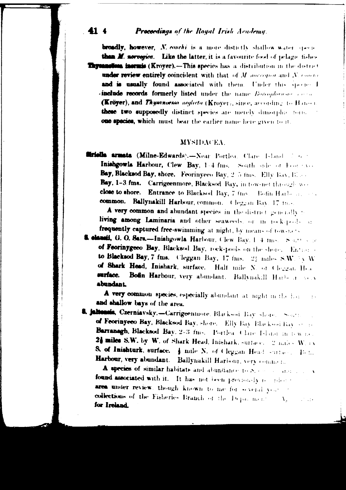#### 414 **Proceedings of the Royal Irish Academy.**

broadly, however, N. conchi is a more distictly shallow water species than M. norvegica. Like the latter, it is a favourite food of pelage fishes **Thysanolies, incruis (Kroyer).-This species has a distribution in the district** under review entirely coincident with that of M ancrequarand N, concluand is usually found associated with them. Under this species I **include records formerly listed** under the name Boroghauso correlation (Kröyer), and Thymnoessa neglecta (Kroyer), since, according to Hansen these two supposedly distinct species are merely dimorphic fears. one species, which must bear the earlier name here given to it

### MYSHEACEA.

**firiella armata (Milne-Edwards).**-Near Portlea, Clare Island J. G. Inishgowls Harbour, Clew Bay, 1-4 fms. South side of Four sys-Bay, Blacksod Bay, shore. Feorinyeeo Bay, 2.5 fms. Elly Bay, Eller Bay, 1-3 fms. Carrigeenmore, Blacksod Bay, in tow-net through we close to shore. Entrance to Blacksod Bay, 7 (ms). Bofin Harbour, 2004. common. Ballynakill Harbour, common. Cleggan Bay, 17 fts-

A very common and abundant species in the district generally : living among Laminaria and other seaweeds, or in rock-pools at frequently captured free-swimming at night, by means of tow-nets

& clausii, G. O. Sara-Inishgowla Harbour, Clew Bay, 1 4 mm. Santteene of Feoringgeeo Bay, Blacksod Bay, rock-pools on the shere. Entrance to Blacksod Bay, 7 fms. Cleggan Bay, 17 fms. 22 miles S.W. 3 V.W. of Shark Head, Inishark, surface. Half mile N. of Cleggian Hea surface. Bofin Harbour, very abundant. Ballynakill Harbour Solv abundant

A very common species, especially abundant at night in the horand shallow bays of the area.

8. jalleenia, Czerniavsky.-Carrigeenmore. Blackson Bay Shore. South of Feoringeeo Bay, Blacksod Bay, shore. Elly Bay Blacksod Bay Strate Barranagh, Blacksod Bay, 2-3 fms. Portlea, Clare Island in tew net 24 miles S.W. by W. of Shark Head, Inishark, surface, 2 miles W. ex S. of Inishturk, surface.  $\frac{1}{2}$  mile N. of Cleggan Head sources. Then Harbour, very abundant. Ballynakill Harbour, very commen.

A species of similar habitate and abundance to Species and all a found associated with it. It has not been previously research area under review, though known to me for several years of collections of the Fisheries Branch of the Department  $\Delta_{\lambda}$  $17.11$ for Ireland.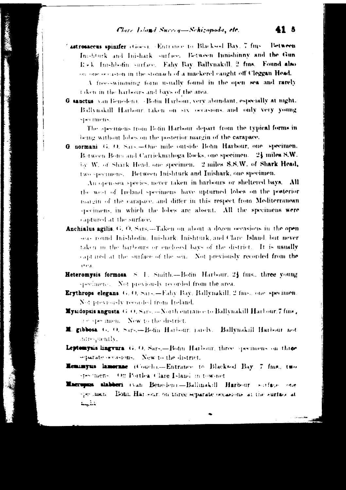astrosaceus spinifer (Goes). Entrance to Blacksod Bay, 7 fms. **Letween** Inshtuck and Inishark surface. Between Innishinny and the Gun Rick Inishbofin surface. Fahy Bay, Ballynakill, 2 fms. Found also on one occasion in the stomach of a mackerel caught off Cleggan Head.

A free-swimming form usually found in the open sea and rarely taken in the harbours and bays of the area.

G. sanctus van Beneden). «Botin Harbour, very abundant, especially at night. Billynakill Harbour, taken on six occasions, and only very young spectmens.

The specimens from Botin Harbour depart from the typical forms in being without lobes on the posterior margin of the carapace.

G normani G O. S.a.s. - One mile outside Bohn Harbour, one specimen. Between Bofin and Carrickmahoga Rocks, one specimen. 24 miles S.W. by W. of Shark Head, one specimen. 2 miles S.S.W. of Shark Head, two specimens. Between Inishturk and Inishark, one specimen.

An open-sea species, never taken in harbours or sheltered bays. All the west of Ireland specimens have upturned lobes on the posterior margin of the carapace, and differ in this respect from Mediterranean specimens, in which the lobes are absent. All the specimens were captured at the surface.

- Anchialus agilis, G. O. Sars,-Taken on about a dozen oceasions in the open seas round Inishbofin, Inishark, Inishturk, and Clare Island, but never taken in the harbours or enclosed bays of the district. It is usually capt ned at the surface of the sea. Not previously recorded from the erea.
- Heteromysis formosa S. 1. Smith.-Botin Harbour, 23 fms., three young specimens. Not previously recorded from the area.
- Erythrops elegans. G. O. Sars.-Fahy Bay, Ballynakill, 2 fins., one specimen. Not previously recorded from Iteland.
- Mysidopsis angusta G.O. Sars. -- North entrance to Ballynakill Harbour. 7 fms, respeciment. New to the district,
- L gibbosa (c. O. Sars Botin Harbour, rarch). Ballynakill Harbour not surequently.
- Leptomysis lingvara. G. O. Sars.-Boton Harbour, three specimens on three separate occasions. New to the district,
- Reminyus lamerase (Couch).--Entrance to Blacksed Bay, 7 fms., two stes mens. On Portlea Clare Island in tow-net
- Macropus slabberi (van Beneden).--Ballinakill Harbour sarface one speciment. Both Harbour, on three separate occasions, at the surface at خناجية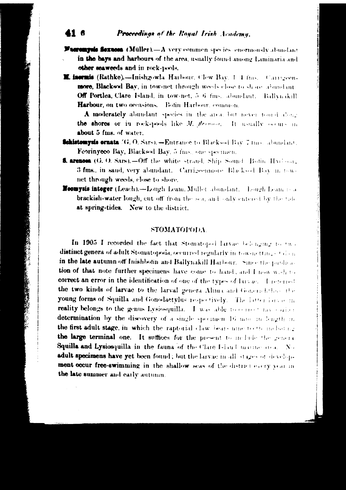#### Proceedings of the Royal Irish Academy. 416

**Facturing foxuom** (Müller). $-A$  very common species enormously abundant in the bays and harbours of the area, usually found among Laminaria and other seaweeds and in rock-pools.

**M. incruis (Rathke).--Inishgowla Harbour. Clew Bay, 1-4 fms.** Carrigeen. more, Blacksod Bay, in tow-net through weeds close to share abundant Off Portlea, Clare Island, in tow-net, 5-6 fms., abundant. Ballynakill Harbour, on two occasions. Bofin Harbour, common.

A moderately abundant species in the area, but never tourd along the shores or in rock-pools like M. flernoon. It usually occurs in about 5 fms. of water.

**Schistomysis ornata** (G, O, Sars), -Entrance to Blacksod Bay 7 mm, abundant, Feoringeeo Bay, Blacksod Bay, 5 fms., one speciment

- **5. arenosa** (G. O. Sars).-Off the white strand, Ship Sound. Both: Harbour, 3 fms., in sand, very abundant. Carrigeennote, Bl.e.ksod Bay in townet through weeds, close to shore.
- **Heomysis integer (Leach).--Lough Leam, Mullet abundant.** Lough Leam is a brackish-water longh, cut off from the sea, and only entered by the tobat spring-tides. New to the district.

## **STOMATOPODA**

In 1905 I recorded the fact that Stomatoped larvae belonging to two distinct genera of adult Stomatopoda, occurred regularly in tow-netting-of dom in the late autumn off Inishboth and Ballynakill Harbour. Since the pardication of that note further specimens have come to hand, and I now wish to correct an error in the identification of one of the types of larvae. I reterred the two kinds of larvae to the larval genera Alima and Gonera behave the young forms of Squilla and Gonodactylus respectively. The latter larve in reality belongs to the genus Lysiosquilla. I was able to convert has entired determination by the discovery of a single specimen 16 mm in length in the first adult stage, in which the raptorial claw bears much other including the large terminal one. It suffices for the present to include the general Squilla and Lysiosquilla in the fauna of the Clare Island marine area. No adult specimens have yet been found; but the larvae in all stages of development occur free-swimming in the shallow seas of the district every year in the late summer and early autumn.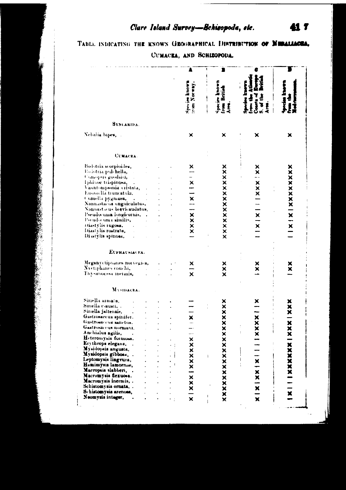## Clare Island Survey-Schisopods, etc.

TABLE INDICATING THE KNOWN GEOGRAPHICAL DISTRIBUTION OF NEDALLACEA,

CUMACEA, AND SCHIZOPODA.

|                                                                                                                                                                                                                                                                                                                                                                                                                                                                                    |                         | Spries known<br>Norway.<br>Cultivali:           | Species Intown<br>Iron British<br>Area.<br>ļ | ัธ                                                              |                              |
|------------------------------------------------------------------------------------------------------------------------------------------------------------------------------------------------------------------------------------------------------------------------------------------------------------------------------------------------------------------------------------------------------------------------------------------------------------------------------------|-------------------------|-------------------------------------------------|----------------------------------------------|-----------------------------------------------------------------|------------------------------|
| SYNCARIDA.                                                                                                                                                                                                                                                                                                                                                                                                                                                                         |                         |                                                 |                                              |                                                                 |                              |
| Nebalia bipes,                                                                                                                                                                                                                                                                                                                                                                                                                                                                     |                         | ×                                               | ×                                            | ×                                                               | ×                            |
| <b>CUMACEA.</b>                                                                                                                                                                                                                                                                                                                                                                                                                                                                    |                         |                                                 |                                              |                                                                 |                              |
| Bodotría scorpioides,<br>Eo iotria pulchella,<br>Cumopers goodsici,<br>Iphinoe trispinosa,<br>Vauntompsonia cristata,<br>Eugorella truncatula,<br>Cumella pygm <b>aea,</b> .<br>Nannastacus unguiculatus, .<br>Nannastacus bievicaudatus,<br>Pseudocuma longicornis.<br>l'scudocuma similis,<br>Diastvlis rugosa.<br>ä,<br>Diastylis rustrata,<br>$\mathcal{A}$<br>Di atylis spinosa,<br>Есриасылска.<br>Meganyctiphanes norvegica,<br>Nvetīphanes conchi,<br>Thy -anocssa mermis, | $\mathcal{L}_{\bullet}$ | ×<br>  XXXXX     X     X  <br>×<br>×            | XXXXXXXXXXXXX<br>xxx                         | ×<br>×<br>    x   x         x   x  <br>×<br>$\ddot{\mathbf{x}}$ | x   x   x x x x x x x x<br>x |
| MASIDACKA.                                                                                                                                                                                                                                                                                                                                                                                                                                                                         |                         |                                                 |                                              |                                                                 |                              |
| Sinella armata,<br>Siriella causii, .<br>Sinella jaltenais,<br>Gastrosaccus spinifer.<br>Gastrosaccus sanctus.<br>Gastrosaccus normani.<br>Anchialus agilis,<br>Heteromysis formosa.<br>Erythrops elegans,<br>Mysidopsis angusta,<br>Mysidopsis gibboss<br>Leptomysis lingvura,<br>Hemimyeis lamornae.<br>Macropsis slabberi,<br>Macromysis flexuosa.<br>Macromysis inermis,<br>Schistomvsis ornata, .<br>Schistomysis arenosa,<br>Neomysis integer,                               |                         | $\mathbf{\underline{x}}$<br><b>XIXXXIXXXXXX</b> | XXXXXXXXXXXXXXXX<br>ł.<br>ł                  | $\overline{a}$<br>XIXIXIXIIIIXXX<br>ţ.                          | XIIIXXXXXXIXXXIXXX           |

Į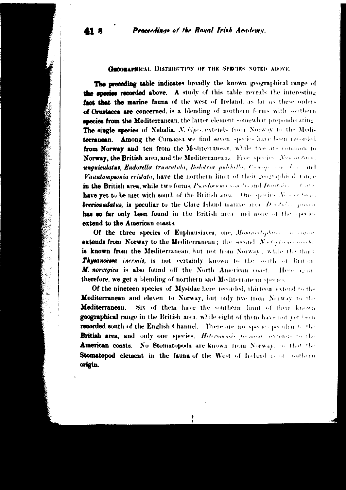Proceedings of the Royal Irish Academy.

**GEOGRAPHICAL DISTRIBUTION OF THE SPRUITS NOTED ABOVE** 

The preceding table indicates broadly the known geographical range of the species recorded above. A study of this table reveals the interesting fact that the marine fauna of the west of Ireland, as far as these orders of Orustacea are concerned, is a blending of northern forms with southern species from the Mediterranean, the latter element somewhat preponderating. The single species of Nebalia, N. bipes, extends from Norway to the Mediterranean. Among the Cumacea we find seven species have been recorded from Norway and ten from the Mediterranean, while five are common to Norway, the British area, and the Mediterranean. Five species New orders. unguiculatus, Eudorella trancatala, Bodotria palchello, Cenop convoluto and Vauntompsonia cristata, have the northern limit of their geographical range in the British area, while two forms, Pseudocuma similar and Darstalis of the have yet to be met with south of the British area. One species Newan three. brevicaudatus, is peculiar to the Clare Island marine area. Dontalis sprinted has so far only been found in the British area and none of the species extend to the American coasts.

Of the three species of Euphausiacea, one, Meganoctydatar and capaciextends from Norway to the Mediterranean; the second Nactional conclusion is known from the Mediterranean, but not from Norway; while the third Thysanocesa incrinis, is not certainly known to the south of Britain M. norvegica is also found off the North American coast. Here seem therefore, we get a blending of northern and Mediterranean species.

**Of the nineteen species of Mysidae here recorded, thirteen extend to the** Mediterranean and eleven to Norway, but only five from Norway to the Mediterranean. Six of them have the southern limit of their known **geographical range in the British area, while eight of them have not yet been** recorded south of the English Channel. There are no species peculiar to the British area, and only one species. Heteromysis formost asstends to the American coasts. No Stomatopoda are known from Norway, so that the Stomatopod element in the fauna of the West of Ireland is or southern origin.

418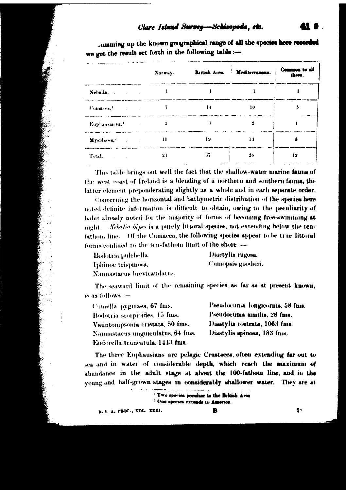## Clare Island Survey-Schisopoda, etc.

Jumming up the known geographical range of all the species here recorded we get the result set forth in the following table :-

|                                                                                                                                                                                                                                | Norway.     |    | British Area.   Mediterraneau.   Common to all |    |
|--------------------------------------------------------------------------------------------------------------------------------------------------------------------------------------------------------------------------------|-------------|----|------------------------------------------------|----|
| Nebalia,                                                                                                                                                                                                                       |             |    |                                                |    |
| Comacea, Company of the Company of the Company of the Company of the Company of the Company of the Company of the Company of the Company of the Company of the Company of the Company of the Company of the Company of the Com | and a state | и  | $\mathbf{u}$                                   | 5  |
|                                                                                                                                                                                                                                | $\sim 10$   | 3  |                                                |    |
| Mysidacea, and a little                                                                                                                                                                                                        |             |    | 19.777713                                      |    |
| Total,                                                                                                                                                                                                                         | 21          | 37 | 26                                             | 12 |

This table brings out well the fact that the shallow-water marine fauna of the west coast of Ireland is a blending of a northern and southern fauna, the latter element preponderating slightly as a whole and in each separate order.

Concerning the horizontal and bathymetric distribution of the species here noted definite information is difficult to obtain, owing to the peculiarity of habit already noted for the majority of forms of becoming free-swimming at night. Nebelia bipes is a purely littoral species, not extending below the tenfathom line. Of the Cumacea, the following species appear to be true littoral forms confined to the ten-fathom limit of the shore :-

| Bodotria pulchella.        | Diastylis rugosa.  |
|----------------------------|--------------------|
| Iphinoe trispinosa.        | Cumopsis goodsiri. |
| Nannastacus brevicaudatus. |                    |

The seaward limit of the remaining species, as far as at present known, is as follows : -

| Cumella pygmaea, 67 fms.          |
|-----------------------------------|
| Bodotria scorpioides, 15 fms.     |
| Vauntompsonia cristata, 50 fms.   |
| Nannastacus unguiculatus, 64 fms. |
| Eudorella truncatula, 1443 fms.   |

Pseudocuma longicornis, 58 fms. Pseudocuma similis, 28 fms. Diastylis rostrata, 1063 fms. Diastylis spinosa, 183 fuis.

The three Euphausians are pelagic Crustaces, often extending far out to sea and in water of considerable depth, which reach the maximum of abundance in the adult stage at about the 100-fathom line, and in the young and half-grown stages in considerably shallower water. They are at

> <sup>1</sup> Two species poculiar to the British Area <sup>2</sup> One species extends to America.

B. I. A. PROC., VOL. XXXI.

ţ,